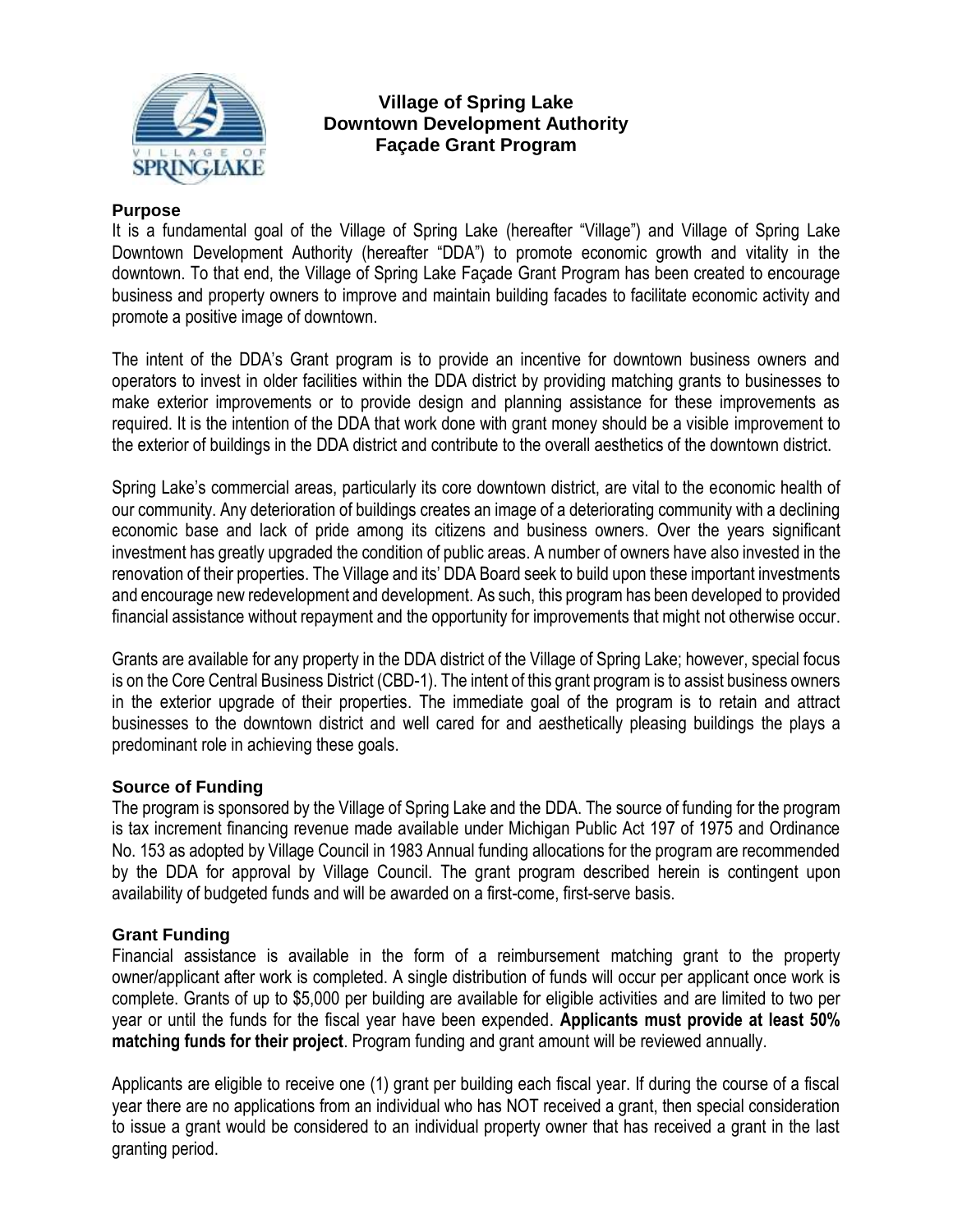

# **Village of Spring Lake Downtown Development Authority Façade Grant Program**

#### **Purpose**

It is a fundamental goal of the Village of Spring Lake (hereafter "Village") and Village of Spring Lake Downtown Development Authority (hereafter "DDA") to promote economic growth and vitality in the downtown. To that end, the Village of Spring Lake Façade Grant Program has been created to encourage business and property owners to improve and maintain building facades to facilitate economic activity and promote a positive image of downtown.

The intent of the DDA's Grant program is to provide an incentive for downtown business owners and operators to invest in older facilities within the DDA district by providing matching grants to businesses to make exterior improvements or to provide design and planning assistance for these improvements as required. It is the intention of the DDA that work done with grant money should be a visible improvement to the exterior of buildings in the DDA district and contribute to the overall aesthetics of the downtown district.

Spring Lake's commercial areas, particularly its core downtown district, are vital to the economic health of our community. Any deterioration of buildings creates an image of a deteriorating community with a declining economic base and lack of pride among its citizens and business owners. Over the years significant investment has greatly upgraded the condition of public areas. A number of owners have also invested in the renovation of their properties. The Village and its' DDA Board seek to build upon these important investments and encourage new redevelopment and development. As such, this program has been developed to provided financial assistance without repayment and the opportunity for improvements that might not otherwise occur.

Grants are available for any property in the DDA district of the Village of Spring Lake; however, special focus is on the Core Central Business District (CBD-1). The intent of this grant program is to assist business owners in the exterior upgrade of their properties. The immediate goal of the program is to retain and attract businesses to the downtown district and well cared for and aesthetically pleasing buildings the plays a predominant role in achieving these goals.

#### **Source of Funding**

The program is sponsored by the Village of Spring Lake and the DDA. The source of funding for the program is tax increment financing revenue made available under Michigan Public Act 197 of 1975 and Ordinance No. 153 as adopted by Village Council in 1983 Annual funding allocations for the program are recommended by the DDA for approval by Village Council. The grant program described herein is contingent upon availability of budgeted funds and will be awarded on a first-come, first-serve basis.

### **Grant Funding**

Financial assistance is available in the form of a reimbursement matching grant to the property owner/applicant after work is completed. A single distribution of funds will occur per applicant once work is complete. Grants of up to \$5,000 per building are available for eligible activities and are limited to two per year or until the funds for the fiscal year have been expended. **Applicants must provide at least 50% matching funds for their project**. Program funding and grant amount will be reviewed annually.

Applicants are eligible to receive one (1) grant per building each fiscal year. If during the course of a fiscal year there are no applications from an individual who has NOT received a grant, then special consideration to issue a grant would be considered to an individual property owner that has received a grant in the last granting period.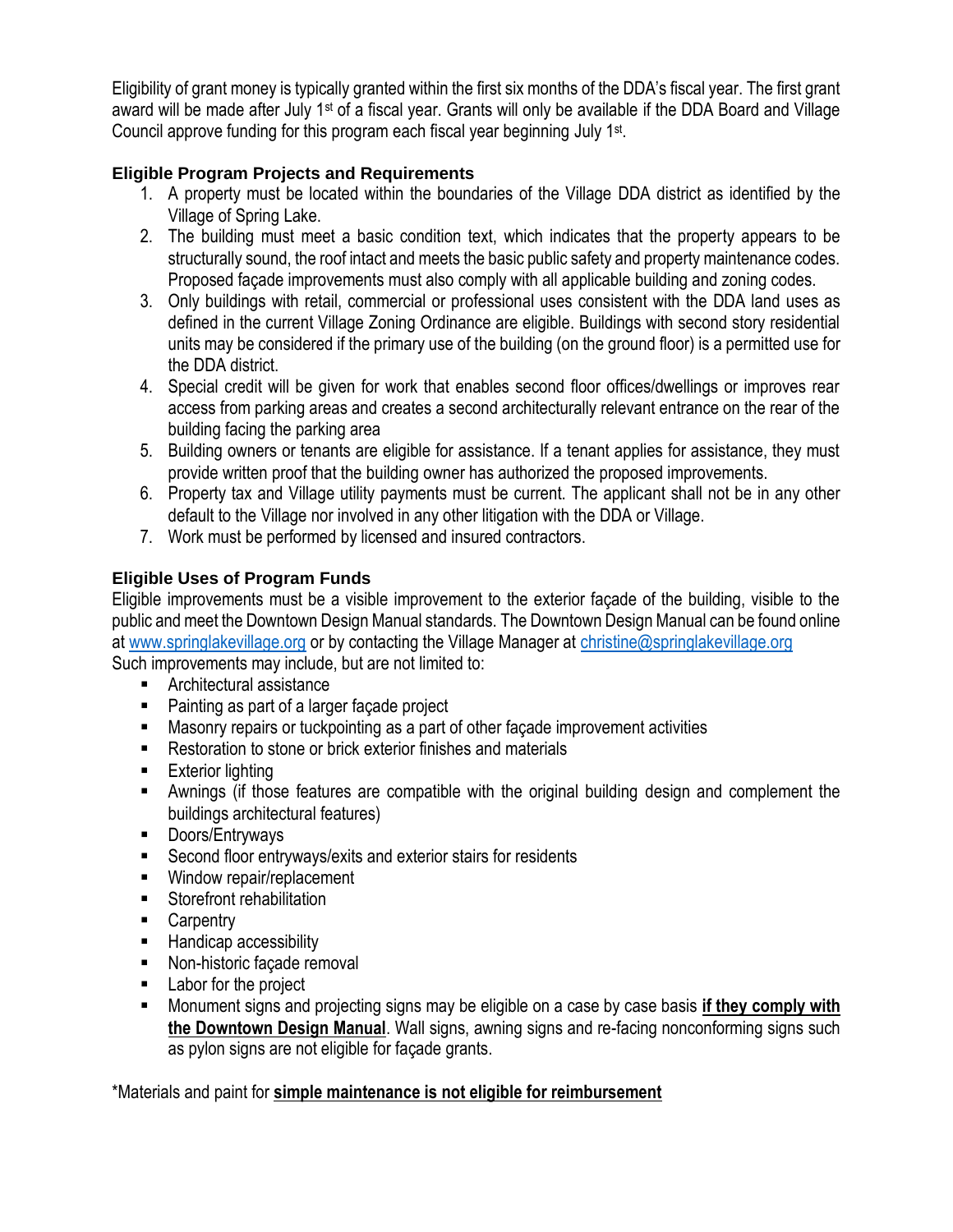Eligibility of grant money is typically granted within the first six months of the DDA's fiscal year. The first grant award will be made after July 1st of a fiscal year. Grants will only be available if the DDA Board and Village Council approve funding for this program each fiscal year beginning July 1<sup>st</sup>.

# **Eligible Program Projects and Requirements**

- 1. A property must be located within the boundaries of the Village DDA district as identified by the Village of Spring Lake.
- 2. The building must meet a basic condition text, which indicates that the property appears to be structurally sound, the roof intact and meets the basic public safety and property maintenance codes. Proposed façade improvements must also comply with all applicable building and zoning codes.
- 3. Only buildings with retail, commercial or professional uses consistent with the DDA land uses as defined in the current Village Zoning Ordinance are eligible. Buildings with second story residential units may be considered if the primary use of the building (on the ground floor) is a permitted use for the DDA district.
- 4. Special credit will be given for work that enables second floor offices/dwellings or improves rear access from parking areas and creates a second architecturally relevant entrance on the rear of the building facing the parking area
- 5. Building owners or tenants are eligible for assistance. If a tenant applies for assistance, they must provide written proof that the building owner has authorized the proposed improvements.
- 6. Property tax and Village utility payments must be current. The applicant shall not be in any other default to the Village nor involved in any other litigation with the DDA or Village.
- 7. Work must be performed by licensed and insured contractors.

# **Eligible Uses of Program Funds**

Eligible improvements must be a visible improvement to the exterior façade of the building, visible to the public and meet the Downtown Design Manual standards. The Downtown Design Manual can be found online at [www.springlakevillage.org](http://www.springlakevillage.org/) or by contacting the Village Manager at [christine@springlakevillage.org](mailto:christine@springlakevillage.org) Such improvements may include, but are not limited to:

- Architectural assistance
- Painting as part of a larger façade project
- Masonry repairs or tuckpointing as a part of other façade improvement activities
- Restoration to stone or brick exterior finishes and materials
- Exterior lighting
- Awnings (if those features are compatible with the original building design and complement the buildings architectural features)
- Doors/Entryways
- Second floor entryways/exits and exterior stairs for residents
- Window repair/replacement
- Storefront rehabilitation
- Carpentry
- Handicap accessibility
- Non-historic façade removal
- Labor for the project
- Monument signs and projecting signs may be eligible on a case by case basis **if they comply with the Downtown Design Manual**. Wall signs, awning signs and re-facing nonconforming signs such as pylon signs are not eligible for façade grants.

\*Materials and paint for **simple maintenance is not eligible for reimbursement**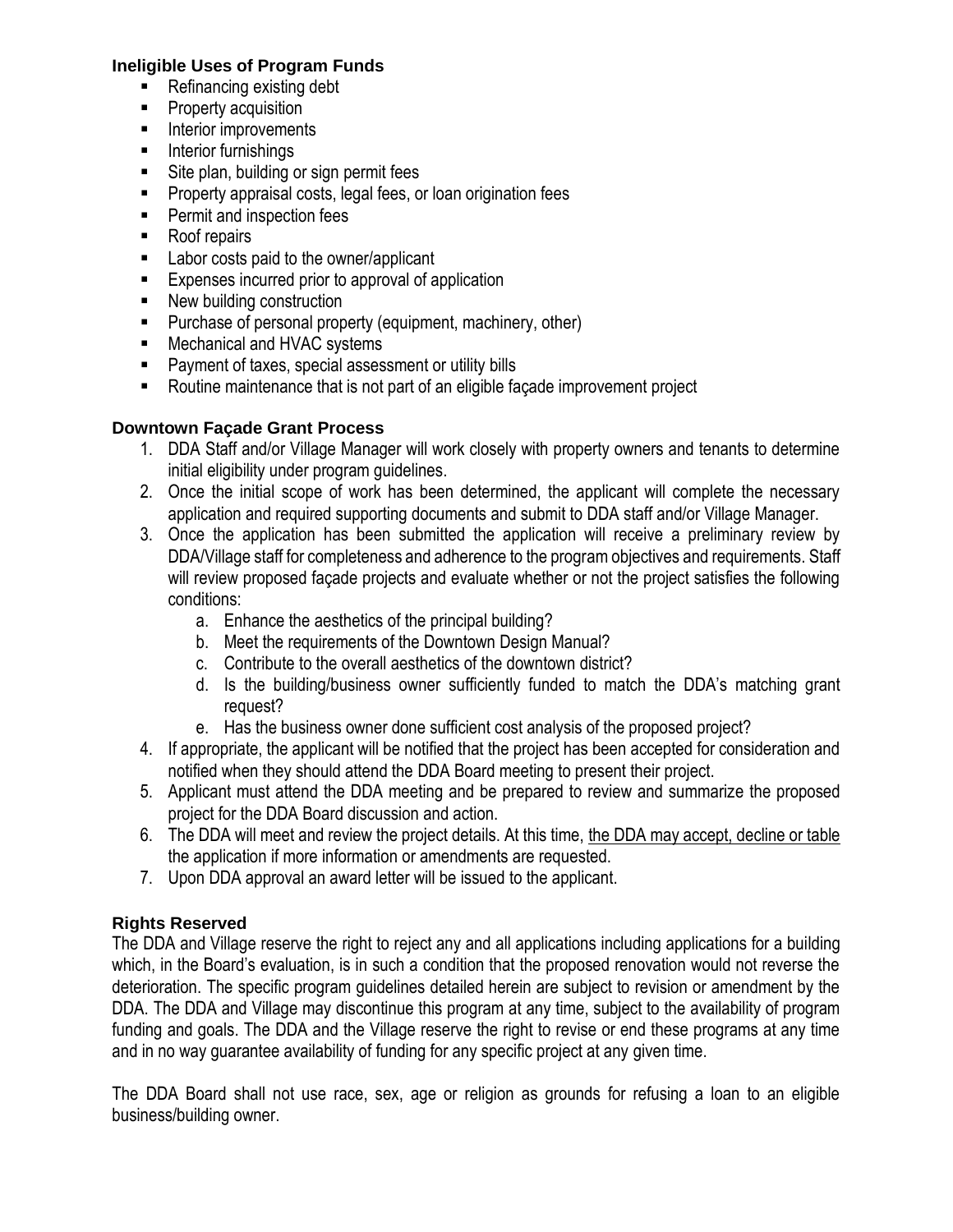#### **Ineligible Uses of Program Funds**

- Refinancing existing debt
- Property acquisition
- Interior improvements
- Interior furnishings
- Site plan, building or sign permit fees
- Property appraisal costs, legal fees, or loan origination fees
- Permit and inspection fees
- Roof repairs
- Labor costs paid to the owner/applicant
- Expenses incurred prior to approval of application
- New building construction
- Purchase of personal property (equipment, machinery, other)
- Mechanical and HVAC systems
- Payment of taxes, special assessment or utility bills
- Routine maintenance that is not part of an eligible façade improvement project

### **Downtown Façade Grant Process**

- 1. DDA Staff and/or Village Manager will work closely with property owners and tenants to determine initial eligibility under program guidelines.
- 2. Once the initial scope of work has been determined, the applicant will complete the necessary application and required supporting documents and submit to DDA staff and/or Village Manager.
- 3. Once the application has been submitted the application will receive a preliminary review by DDA/Village staff for completeness and adherence to the program objectives and requirements. Staff will review proposed façade projects and evaluate whether or not the project satisfies the following conditions:
	- a. Enhance the aesthetics of the principal building?
	- b. Meet the requirements of the Downtown Design Manual?
	- c. Contribute to the overall aesthetics of the downtown district?
	- d. Is the building/business owner sufficiently funded to match the DDA's matching grant request?
	- e. Has the business owner done sufficient cost analysis of the proposed project?
- 4. If appropriate, the applicant will be notified that the project has been accepted for consideration and notified when they should attend the DDA Board meeting to present their project.
- 5. Applicant must attend the DDA meeting and be prepared to review and summarize the proposed project for the DDA Board discussion and action.
- 6. The DDA will meet and review the project details. At this time, the DDA may accept, decline or table the application if more information or amendments are requested.
- 7. Upon DDA approval an award letter will be issued to the applicant.

# **Rights Reserved**

The DDA and Village reserve the right to reject any and all applications including applications for a building which, in the Board's evaluation, is in such a condition that the proposed renovation would not reverse the deterioration. The specific program guidelines detailed herein are subject to revision or amendment by the DDA. The DDA and Village may discontinue this program at any time, subject to the availability of program funding and goals. The DDA and the Village reserve the right to revise or end these programs at any time and in no way guarantee availability of funding for any specific project at any given time.

The DDA Board shall not use race, sex, age or religion as grounds for refusing a loan to an eligible business/building owner.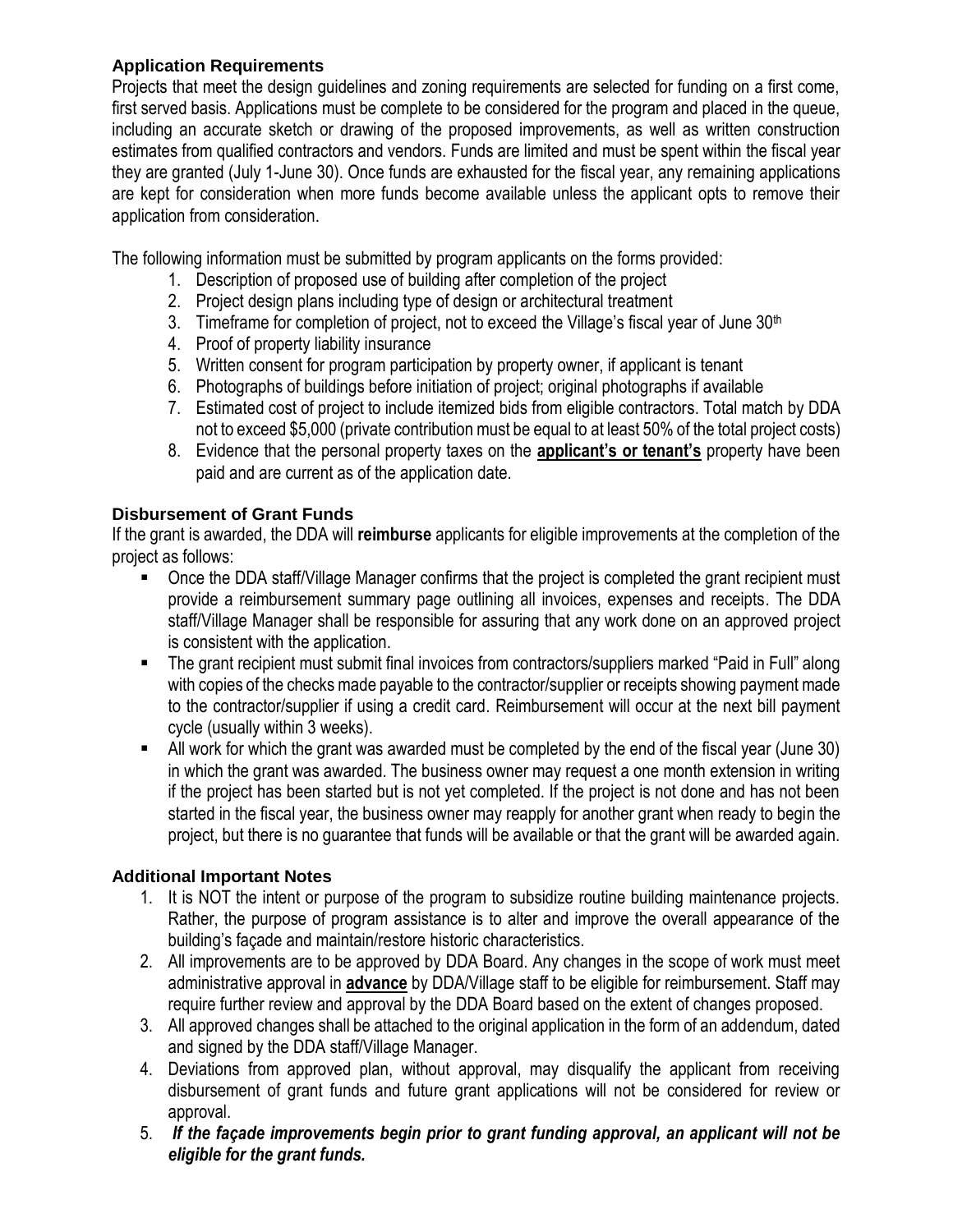## **Application Requirements**

Projects that meet the design guidelines and zoning requirements are selected for funding on a first come, first served basis. Applications must be complete to be considered for the program and placed in the queue, including an accurate sketch or drawing of the proposed improvements, as well as written construction estimates from qualified contractors and vendors. Funds are limited and must be spent within the fiscal year they are granted (July 1-June 30). Once funds are exhausted for the fiscal year, any remaining applications are kept for consideration when more funds become available unless the applicant opts to remove their application from consideration.

The following information must be submitted by program applicants on the forms provided:

- 1. Description of proposed use of building after completion of the project
- 2. Project design plans including type of design or architectural treatment
- 3. Timeframe for completion of project, not to exceed the Village's fiscal year of June  $30<sup>th</sup>$
- 4. Proof of property liability insurance
- 5. Written consent for program participation by property owner, if applicant is tenant
- 6. Photographs of buildings before initiation of project; original photographs if available
- 7. Estimated cost of project to include itemized bids from eligible contractors. Total match by DDA not to exceed \$5,000 (private contribution must be equal to at least 50% of the total project costs)
- 8. Evidence that the personal property taxes on the **applicant's or tenant's** property have been paid and are current as of the application date.

# **Disbursement of Grant Funds**

If the grant is awarded, the DDA will **reimburse** applicants for eligible improvements at the completion of the project as follows:

- Once the DDA staff/Village Manager confirms that the project is completed the grant recipient must provide a reimbursement summary page outlining all invoices, expenses and receipts. The DDA staff/Village Manager shall be responsible for assuring that any work done on an approved project is consistent with the application.
- The grant recipient must submit final invoices from contractors/suppliers marked "Paid in Full" along with copies of the checks made payable to the contractor/supplier or receipts showing payment made to the contractor/supplier if using a credit card. Reimbursement will occur at the next bill payment cycle (usually within 3 weeks).
- All work for which the grant was awarded must be completed by the end of the fiscal year (June 30) in which the grant was awarded. The business owner may request a one month extension in writing if the project has been started but is not yet completed. If the project is not done and has not been started in the fiscal year, the business owner may reapply for another grant when ready to begin the project, but there is no guarantee that funds will be available or that the grant will be awarded again.

### **Additional Important Notes**

- 1. It is NOT the intent or purpose of the program to subsidize routine building maintenance projects. Rather, the purpose of program assistance is to alter and improve the overall appearance of the building's façade and maintain/restore historic characteristics.
- 2. All improvements are to be approved by DDA Board. Any changes in the scope of work must meet administrative approval in **advance** by DDA/Village staff to be eligible for reimbursement. Staff may require further review and approval by the DDA Board based on the extent of changes proposed.
- 3. All approved changes shall be attached to the original application in the form of an addendum, dated and signed by the DDA staff/Village Manager.
- 4. Deviations from approved plan, without approval, may disqualify the applicant from receiving disbursement of grant funds and future grant applications will not be considered for review or approval.
- 5. *If the façade improvements begin prior to grant funding approval, an applicant will not be eligible for the grant funds.*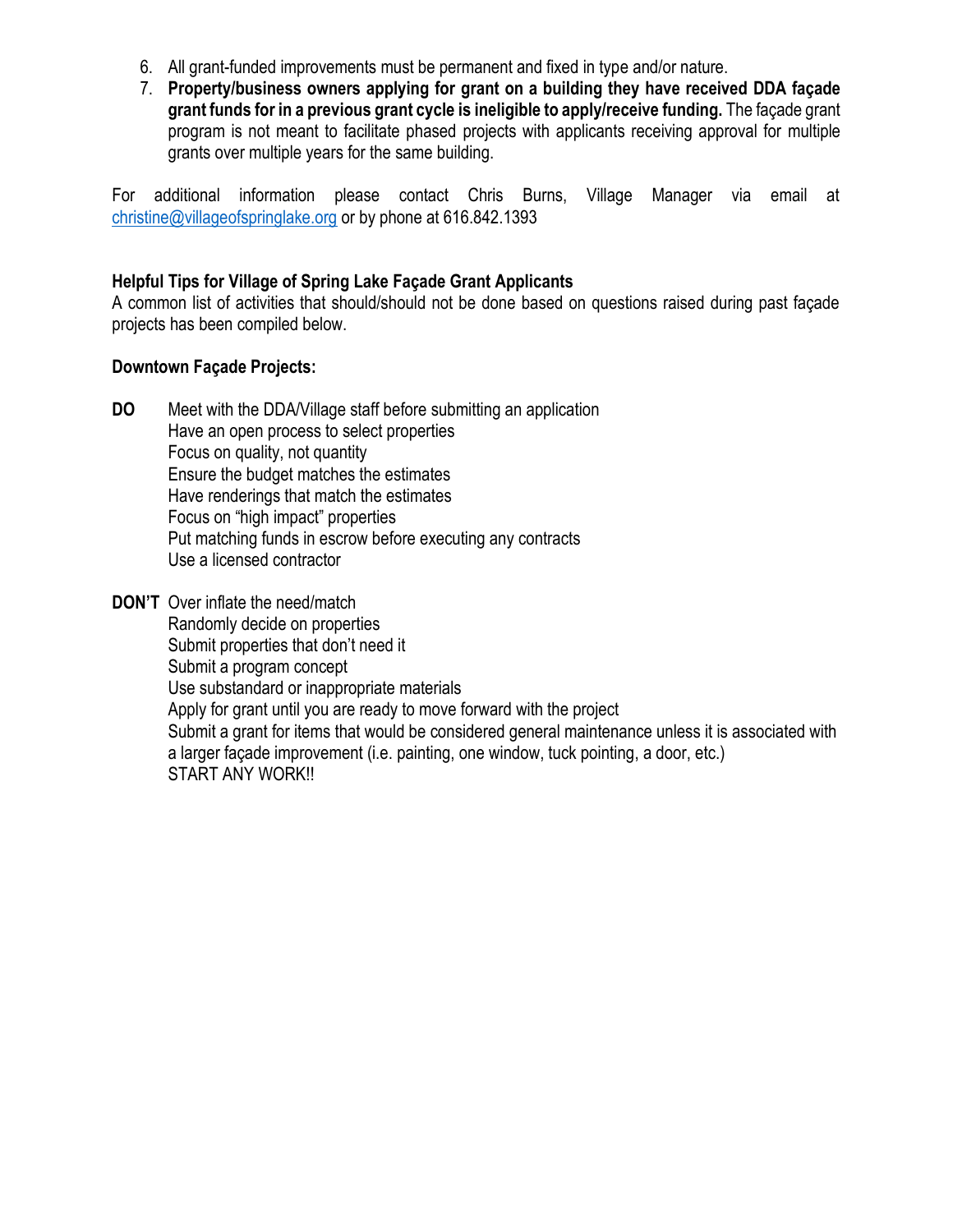- 6. All grant-funded improvements must be permanent and fixed in type and/or nature.
- 7. **Property/business owners applying for grant on a building they have received DDA façade grant funds for in a previous grant cycle is ineligible to apply/receive funding.** The façade grant program is not meant to facilitate phased projects with applicants receiving approval for multiple grants over multiple years for the same building.

For additional information please contact Chris Burns, Village Manager via email at [christine@villageo](mailto:christine@village)fspringlake.org or by phone at 616.842.1393

## **Helpful Tips for Village of Spring Lake Façade Grant Applicants**

A common list of activities that should/should not be done based on questions raised during past façade projects has been compiled below.

### **Downtown Façade Projects:**

- **DO** Meet with the DDA/Village staff before submitting an application Have an open process to select properties Focus on quality, not quantity Ensure the budget matches the estimates Have renderings that match the estimates Focus on "high impact" properties Put matching funds in escrow before executing any contracts Use a licensed contractor
- **DON'T** Over inflate the need/match Randomly decide on properties Submit properties that don't need it Submit a program concept Use substandard or inappropriate materials Apply for grant until you are ready to move forward with the project Submit a grant for items that would be considered general maintenance unless it is associated with a larger façade improvement (i.e. painting, one window, tuck pointing, a door, etc.) START ANY WORK!!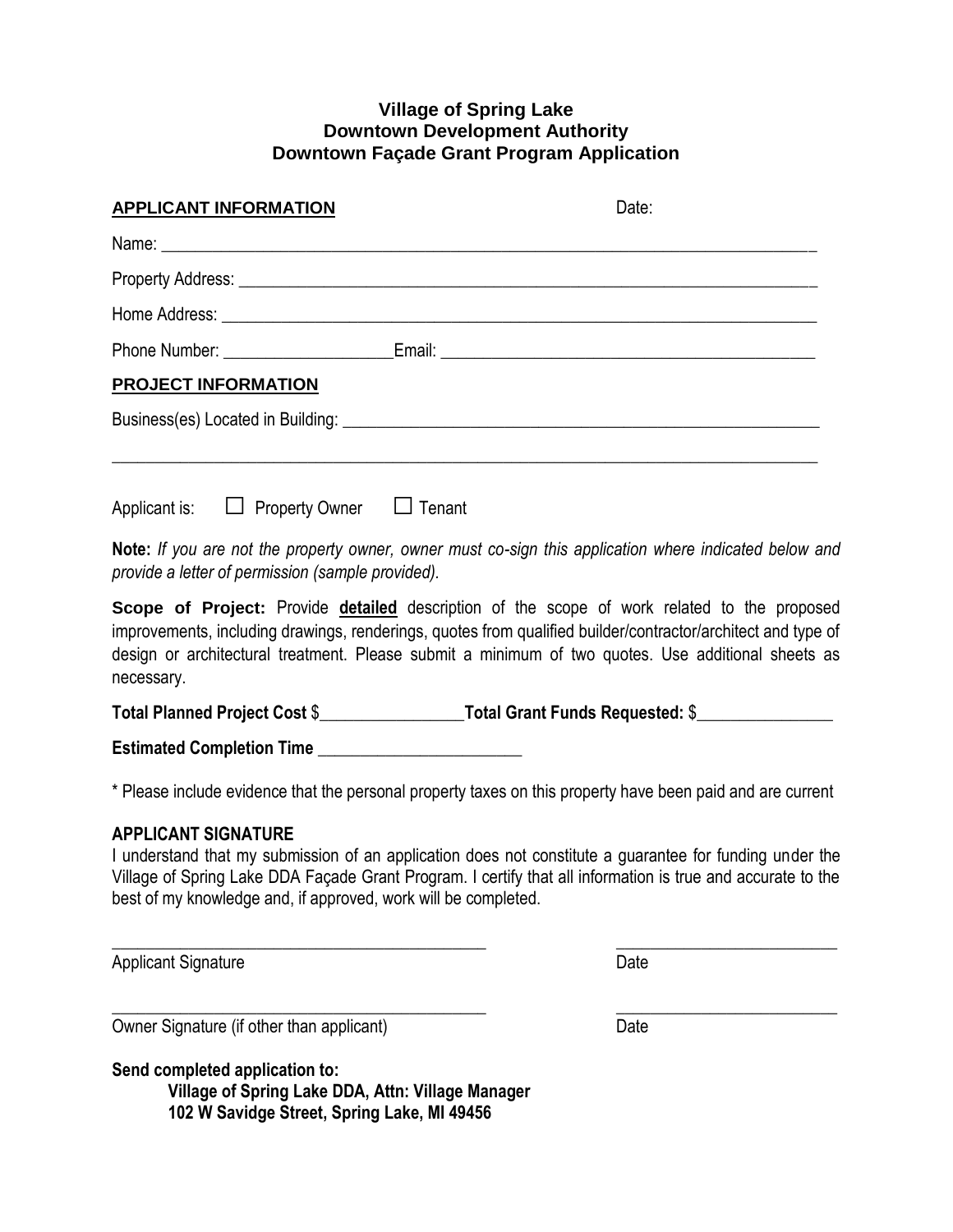#### **Village of Spring Lake Downtown Development Authority Downtown Façade Grant Program Application**

| <b>APPLICANT INFORMATION</b>                      | Date:                                                                                                                                                                                                                                |
|---------------------------------------------------|--------------------------------------------------------------------------------------------------------------------------------------------------------------------------------------------------------------------------------------|
|                                                   |                                                                                                                                                                                                                                      |
|                                                   | Property Address: <u>Committee Committee Committee Committee Committee Committee Committee Committee Committee Committee Committee Committee Committee Committee Committee Committee Committee Committee Committee Committee Com</u> |
|                                                   |                                                                                                                                                                                                                                      |
|                                                   |                                                                                                                                                                                                                                      |
| <b>PROJECT INFORMATION</b>                        |                                                                                                                                                                                                                                      |
|                                                   |                                                                                                                                                                                                                                      |
| Applicant is: $\Box$ Property Owner $\Box$ Tenant |                                                                                                                                                                                                                                      |
| provide a letter of permission (sample provided). | Note: If you are not the property owner, owner must co-sign this application where indicated below and                                                                                                                               |
|                                                   | Scope of Project: Provide detailed description of the scope of work related to the proposed                                                                                                                                          |

**Scope of Project:** Provide **detailed** description of the scope of work related to the proposed improvements, including drawings, renderings, quotes from qualified builder/contractor/architect and type of design or architectural treatment. Please submit a minimum of two quotes. Use additional sheets as necessary.

**Total Planned Project Cost** \$\_\_\_\_\_\_\_\_\_\_\_\_\_\_\_\_\_**Total Grant Funds Requested:** \$\_\_\_\_\_\_\_\_\_\_\_\_\_\_\_\_

**Estimated Completion Time** \_\_\_\_\_\_\_\_\_\_\_\_\_\_\_\_\_\_\_\_\_\_\_\_

\* Please include evidence that the personal property taxes on this property have been paid and are current

### **APPLICANT SIGNATURE**

I understand that my submission of an application does not constitute a guarantee for funding under the Village of Spring Lake DDA Façade Grant Program. I certify that all information is true and accurate to the best of my knowledge and, if approved, work will be completed.

 $\_$  , and the contribution of the contribution of  $\overline{a}$  ,  $\overline{b}$  ,  $\overline{c}$  ,  $\overline{c}$  ,  $\overline{c}$  ,  $\overline{c}$  ,  $\overline{c}$  ,  $\overline{c}$  ,  $\overline{c}$  ,  $\overline{c}$  ,  $\overline{c}$  ,  $\overline{c}$  ,  $\overline{c}$  ,  $\overline{c}$  ,  $\overline{c}$  ,  $\overline{c$ 

 $\_$  , and the set of the set of the set of the set of the set of the set of the set of the set of the set of the set of the set of the set of the set of the set of the set of the set of the set of the set of the set of th

Applicant Signature Date **Date** 

Owner Signature (if other than applicant) Date

**Send completed application to:**

**Village of Spring Lake DDA, Attn: Village Manager 102 W Savidge Street, Spring Lake, MI 49456**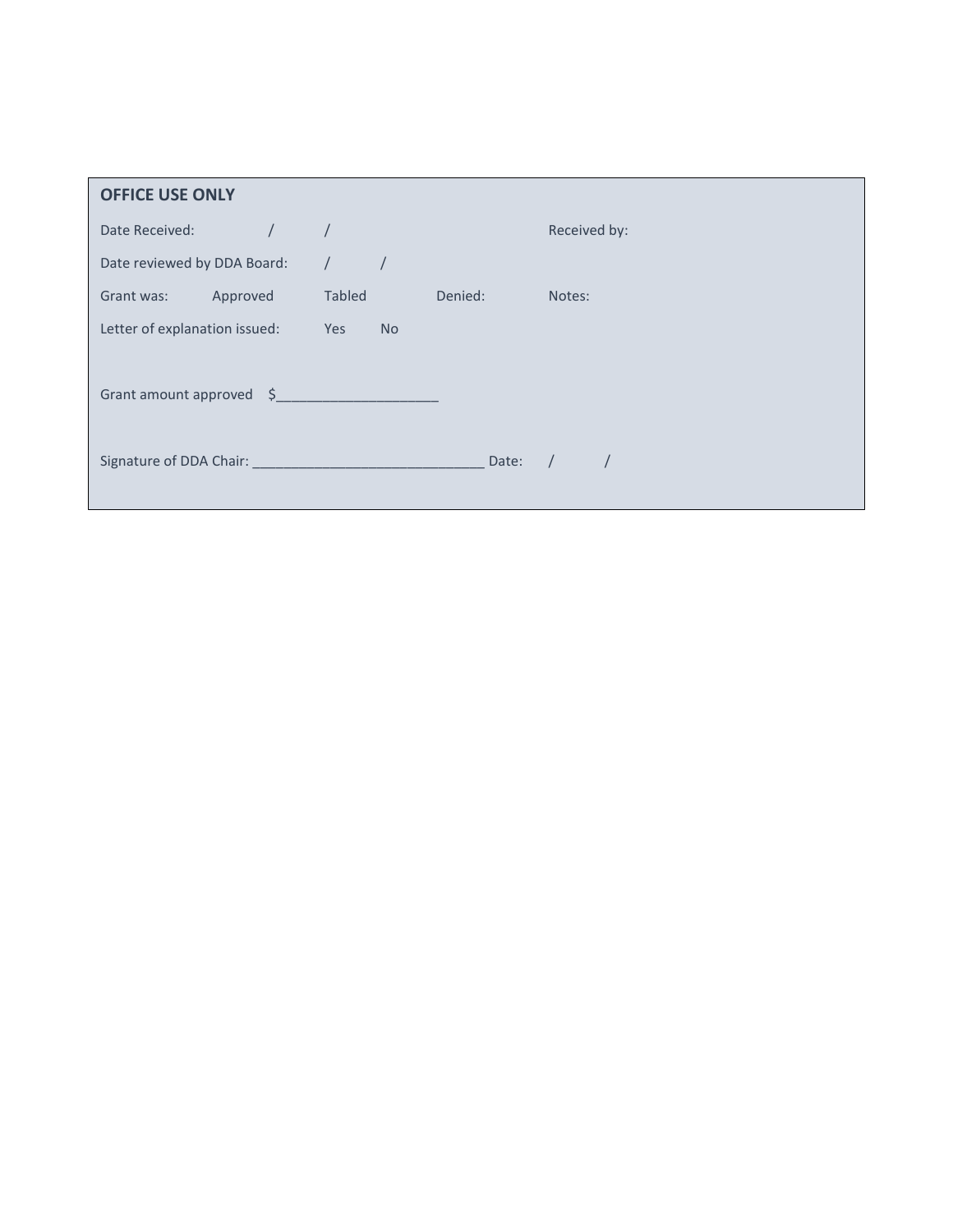| <b>OFFICE USE ONLY</b>        |                  |         |              |
|-------------------------------|------------------|---------|--------------|
| Date Received:                |                  |         | Received by: |
| Date reviewed by DDA Board:   |                  |         |              |
| Approved<br>Grant was:        | Tabled           | Denied: | Notes:       |
| Letter of explanation issued: | <b>No</b><br>Yes |         |              |
| Grant amount approved \$      |                  |         |              |
|                               |                  | Date:   |              |